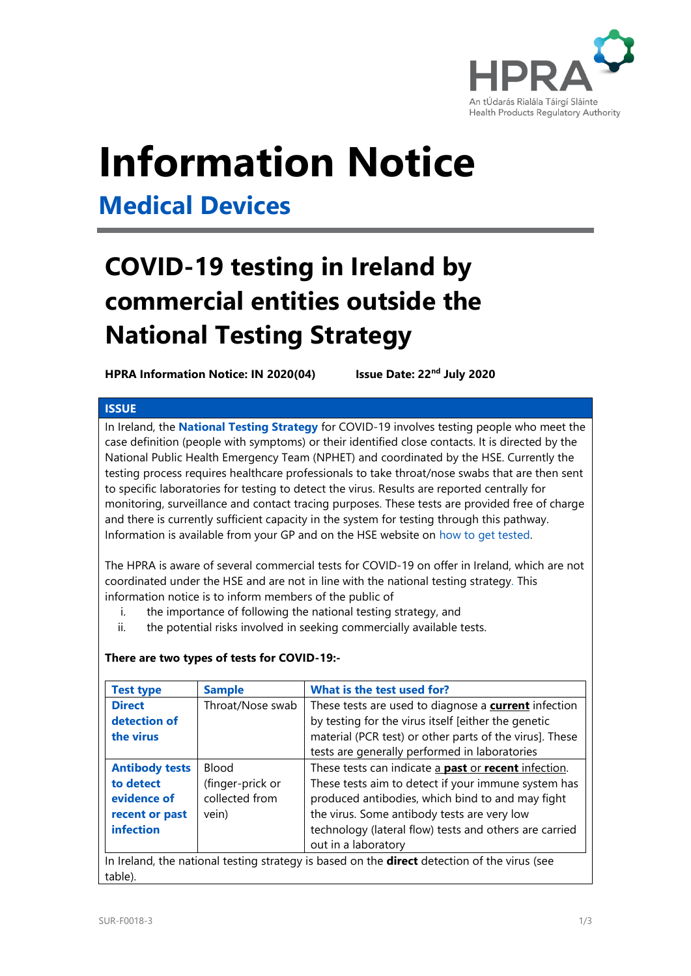

# **Information Notice**

### **Medical Devices**

## **COVID-19 testing in Ireland by commercial entities outside the National Testing Strategy**

**HPRA Information Notice: IN 2020(04)** 

**lssue Date: 22<sup>nd</sup> July 2020** 

#### **ISSUE**

In Ireland, the **[National Testing Strategy](https://www2.hse.ie/conditions/coronavirus/testing/how-to-get-tested.html)** for COVID-19 involves testing people who meet the case definition (people with symptoms) or their identified close contacts. It is directed by the National Public Health Emergency Team (NPHET) and coordinated by the HSE. Currently the testing process requires healthcare professionals to take throat/nose swabs that are then sent to specific laboratories for testing to detect the virus. Results are reported centrally for monitoring, surveillance and contact tracing purposes. These tests are provided free of charge and there is currently sufficient capacity in the system for testing through this pathway. Information is available from your GP and on the HSE website on [how to get tested.](https://www2.hse.ie/conditions/coronavirus/testing/how-to-get-tested.html)

The HPRA is aware of several commercial tests for COVID-19 on offer in Ireland, which are not coordinated under the HSE and are not in line with the national testing strategy. This information notice is to inform members of the public of

- i. the importance of following the national testing strategy, and
- ii. the potential risks involved in seeking commercially available tests.

#### **There are two types of tests for COVID-19:-**

| <b>Test type</b>                                                                                               | <b>Sample</b>    | What is the test used for?                                         |
|----------------------------------------------------------------------------------------------------------------|------------------|--------------------------------------------------------------------|
| <b>Direct</b>                                                                                                  | Throat/Nose swab | These tests are used to diagnose a <b>current</b> infection        |
| detection of                                                                                                   |                  | by testing for the virus itself [either the genetic                |
| the virus                                                                                                      |                  | material (PCR test) or other parts of the virus]. These            |
|                                                                                                                |                  | tests are generally performed in laboratories                      |
| <b>Antibody tests</b>                                                                                          | <b>Blood</b>     | These tests can indicate a <b>past</b> or <b>recent</b> infection. |
| to detect                                                                                                      | (finger-prick or | These tests aim to detect if your immune system has                |
| evidence of                                                                                                    | collected from   | produced antibodies, which bind to and may fight                   |
| recent or past                                                                                                 | vein)            | the virus. Some antibody tests are very low                        |
| infection                                                                                                      |                  | technology (lateral flow) tests and others are carried             |
|                                                                                                                |                  | out in a laboratory                                                |
| In Ireland, the national testing strategy is based on the <b>direct</b> detection of the virus (see<br>table). |                  |                                                                    |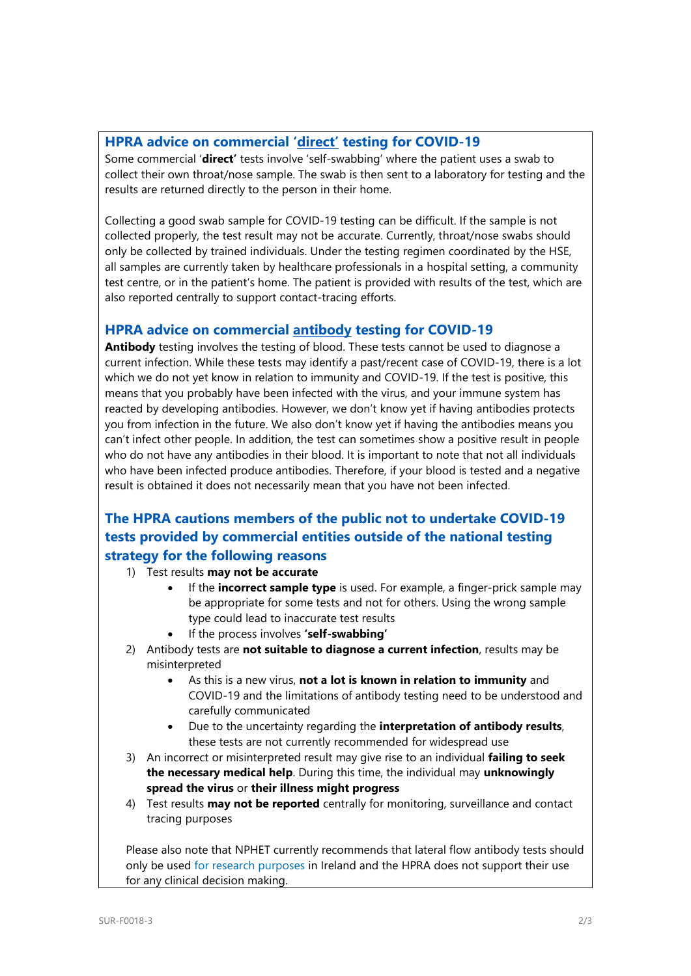#### **HPRA advice on commercial 'direct' testing for COVID-19**

Some commercial '**direct'** tests involve 'self-swabbing' where the patient uses a swab to collect their own throat/nose sample. The swab is then sent to a laboratory for testing and the results are returned directly to the person in their home.

Collecting a good swab sample for COVID-19 testing can be difficult. If the sample is not collected properly, the test result may not be accurate. Currently, throat/nose swabs should only be collected by trained individuals. Under the testing regimen coordinated by the HSE, all samples are currently taken by healthcare professionals in a hospital setting, a community test centre, or in the patient's home. The patient is provided with results of the test, which are also reported centrally to support contact-tracing efforts.

#### **HPRA advice on commercial antibody testing for COVID-19**

**Antibody** testing involves the testing of blood. These tests cannot be used to diagnose a current infection. While these tests may identify a past/recent case of COVID-19, there is a lot which we do not yet know in relation to immunity and COVID-19. If the test is positive, this means that you probably have been infected with the virus, and your immune system has reacted by developing antibodies. However, we don't know yet if having antibodies protects you from infection in the future. We also don't know yet if having the antibodies means you can't infect other people. In addition, the test can sometimes show a positive result in people who do not have any antibodies in their blood. It is important to note that not all individuals who have been infected produce antibodies. Therefore, if your blood is tested and a negative result is obtained it does not necessarily mean that you have not been infected.

### **The HPRA cautions members of the public not to undertake COVID-19 tests provided by commercial entities outside of the national testing strategy for the following reasons**

- 1) Test results **may not be accurate**
	- If the **incorrect sample type** is used. For example, a finger-prick sample may be appropriate for some tests and not for others. Using the wrong sample type could lead to inaccurate test results
	- If the process involves **'self-swabbing'**
- 2) Antibody tests are **not suitable to diagnose a current infection**, results may be misinterpreted
	- As this is a new virus, **not a lot is known in relation to immunity** and COVID-19 and the limitations of antibody testing need to be understood and carefully communicated
	- Due to the uncertainty regarding the **interpretation of antibody results**, these tests are not currently recommended for widespread use
- 3) An incorrect or misinterpreted result may give rise to an individual **failing to seek the necessary medical help**. During this time, the individual may **unknowingly spread the virus** or **their illness might progress**
- 4) Test results **may not be reported** centrally for monitoring, surveillance and contact tracing purposes

Please also note that NPHET currently recommends that lateral flow antibody tests should only be used [for research purposes](https://assets.gov.ie/75254/bcdcc453-b748-4e5e-9374-dd844c2c234c.pdf) in Ireland and the HPRA does not support their use for any clinical decision making.